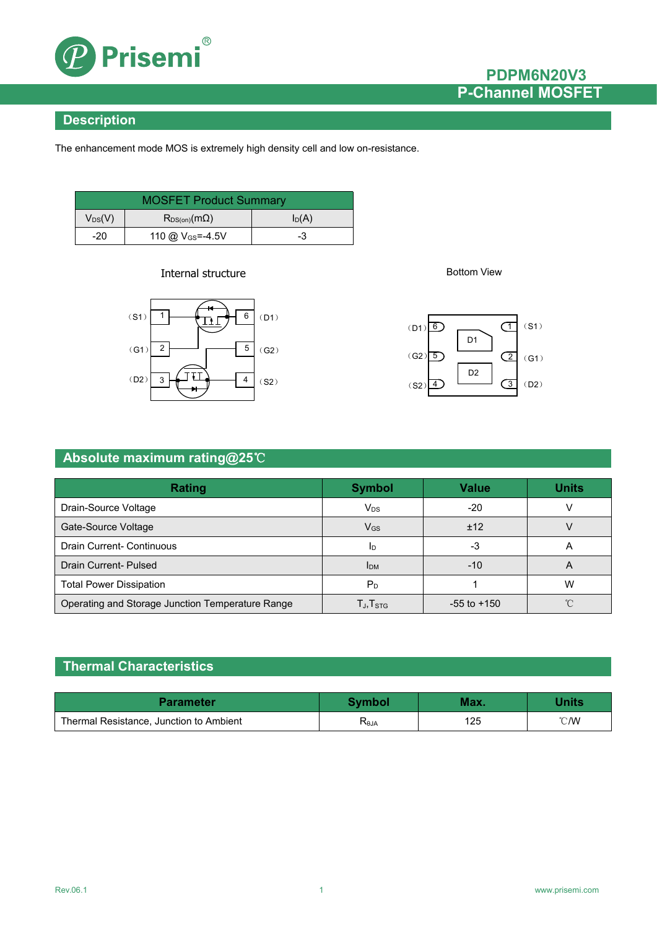

## **PDPM6N20V3 P-Channel MOSFET**

### **Description**

The enhancement mode MOS is extremely high density cell and low on-resistance.

| <b>MOSFET Product Summary</b> |                              |          |  |  |
|-------------------------------|------------------------------|----------|--|--|
| $V_{DS}(V)$                   | $R_{DS(on)}(m\Omega)$        | $I_D(A)$ |  |  |
| $-20$                         | 110 @ V <sub>GS</sub> =-4.5V | -3       |  |  |





Bottom View



### **Absolute maximum rating@25**℃

| Rating                                           | <b>Symbol</b>                                        | <b>Value</b>    | <b>Units</b>   |
|--------------------------------------------------|------------------------------------------------------|-----------------|----------------|
| Drain-Source Voltage                             | $V_{DS}$                                             | $-20$           |                |
| Gate-Source Voltage                              | $V$ <sub>GS</sub>                                    | ±12             |                |
| Drain Current- Continuous                        | ID                                                   | -3              |                |
| Drain Current- Pulsed                            | <b>IDM</b>                                           | $-10$           | $\overline{A}$ |
| <b>Total Power Dissipation</b>                   | P <sub>D</sub>                                       |                 | W              |
| Operating and Storage Junction Temperature Range | $\mathsf{T}_{\mathsf{J}}, \mathsf{T}_{\mathsf{STG}}$ | $-55$ to $+150$ | $^{\circ}$ C   |

### **Thermal Characteristics**

| <i>r</i> ameter                         |                | Max. | <b>Jnits</b>  |
|-----------------------------------------|----------------|------|---------------|
| Thermal Resistance, Junction to Ambient | $R_{\theta$ JA | 125  | $\degree$ C/W |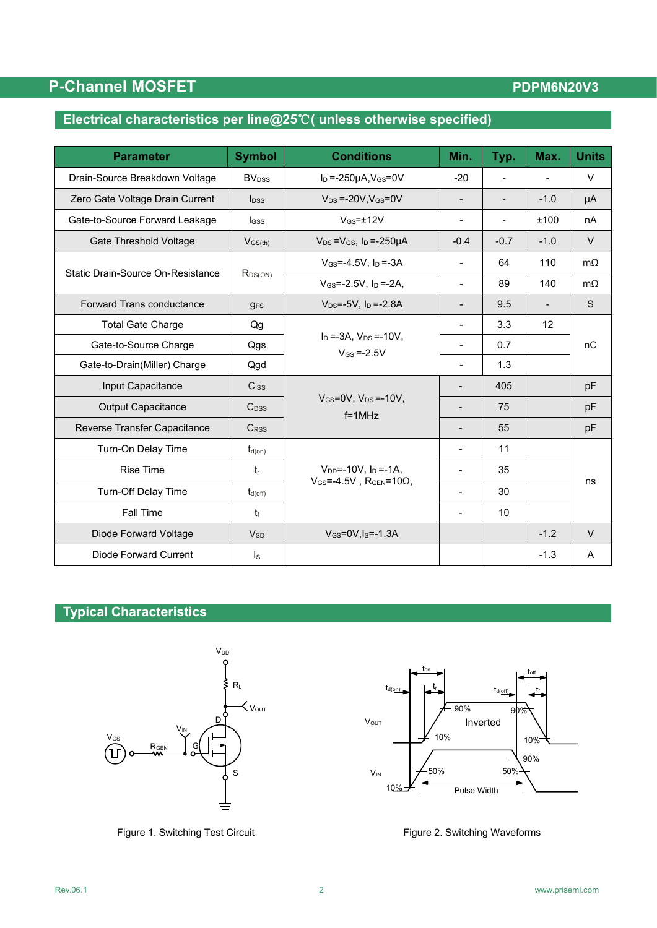# **P-Channel MOSFET POPM6N20V3**

## **Electrical characteristics per line@25**℃**( unless otherwise specified)**

| <b>Parameter</b>                  | <b>Symbol</b>            | <b>Conditions</b>                                            | Min.                     | Typ.                     | Max.                     | <b>Units</b>   |  |
|-----------------------------------|--------------------------|--------------------------------------------------------------|--------------------------|--------------------------|--------------------------|----------------|--|
| Drain-Source Breakdown Voltage    | <b>BV</b> <sub>DSS</sub> | $I_D = -250\mu A$ , $V_{GS} = 0V$                            | $-20$                    | $\blacksquare$           |                          | $\vee$         |  |
| Zero Gate Voltage Drain Current   | $I_{\text{DSS}}$         | $V_{DS}$ =-20V, $V_{GS}$ =0V                                 | $\blacksquare$           | $\overline{\phantom{a}}$ | $-1.0$                   | μA             |  |
| Gate-to-Source Forward Leakage    | $I$ <sub>GSS</sub>       | $V_{GS} = \pm 12V$                                           | $\overline{\phantom{0}}$ | $\blacksquare$           | ±100                     | nA             |  |
| Gate Threshold Voltage            | $V$ <sub>GS(th)</sub>    | $V_{DS} = V_{GS}$ , $I_D = -250 \mu A$                       | $-0.4$                   | $-0.7$                   | $-1.0$                   | $\vee$         |  |
|                                   |                          | $V_{GS} = -4.5V$ , $I_D = -3A$                               | $\overline{\phantom{a}}$ | 64                       | 110                      | $m\Omega$      |  |
| Static Drain-Source On-Resistance | $R_{DS(ON)}$             | $V_{GS}$ =-2.5V, $I_D$ =-2A,                                 | $\overline{\phantom{a}}$ | 89                       | 140                      | $m\Omega$      |  |
| Forward Trans conductance         | $g_{FS}$                 | $V_{DS} = -5V$ , $I_D = -2.8A$                               | $\overline{\phantom{a}}$ | 9.5                      | $\overline{\phantom{0}}$ | S              |  |
| <b>Total Gate Charge</b>          | Qg                       |                                                              | $\overline{\phantom{a}}$ | 3.3                      | 12                       | nC             |  |
| Gate-to-Source Charge             | Qgs                      | $I_D = -3A$ , $V_{DS} = -10V$ .<br>$V$ <sub>GS</sub> = -2.5V | $\overline{\phantom{a}}$ | 0.7                      |                          |                |  |
| Gate-to-Drain(Miller) Charge      | Qgd                      |                                                              | $\overline{\phantom{0}}$ | 1.3                      |                          |                |  |
| Input Capacitance                 | C <sub>ISS</sub>         |                                                              | $\overline{a}$           | 405                      |                          | pF             |  |
| <b>Output Capacitance</b>         | $C_{DSS}$                | $V_{GS} = 0V$ , $V_{DS} = -10V$ ,<br>$f = 1$ MHz             | $\overline{\phantom{a}}$ | 75                       |                          | pF             |  |
| Reverse Transfer Capacitance      | C <sub>RSS</sub>         |                                                              | $\overline{\phantom{0}}$ | 55                       |                          | pF             |  |
| Turn-On Delay Time                | $t_{d(on)}$              |                                                              | $\overline{\phantom{a}}$ | 11                       |                          |                |  |
| <b>Rise Time</b>                  | $t_{r}$                  | $V_{DD}$ =-10V, $I_D$ =-1A,                                  | $\overline{\phantom{a}}$ | 35                       |                          | ns             |  |
| Turn-Off Delay Time               | $t_{d(\text{off})}$      | $V_{GS} = -4.5V$ , $R_{GEN} = 10\Omega$ ,                    | $\blacksquare$           | 30                       |                          |                |  |
| Fall Time                         | $t_{\rm f}$              |                                                              | $\sim$                   | 10                       |                          |                |  |
| Diode Forward Voltage             | <b>V<sub>SD</sub></b>    | $V_{GS} = 0V$ , $I_S = -1.3A$                                |                          |                          | $-1.2$                   | $\vee$         |  |
| Diode Forward Current             | Is                       |                                                              |                          |                          | $-1.3$                   | $\overline{A}$ |  |

## **Typical Characteristics**



Figure 1. Switching Test Circuit **Figure 2. Switching Waveforms** 

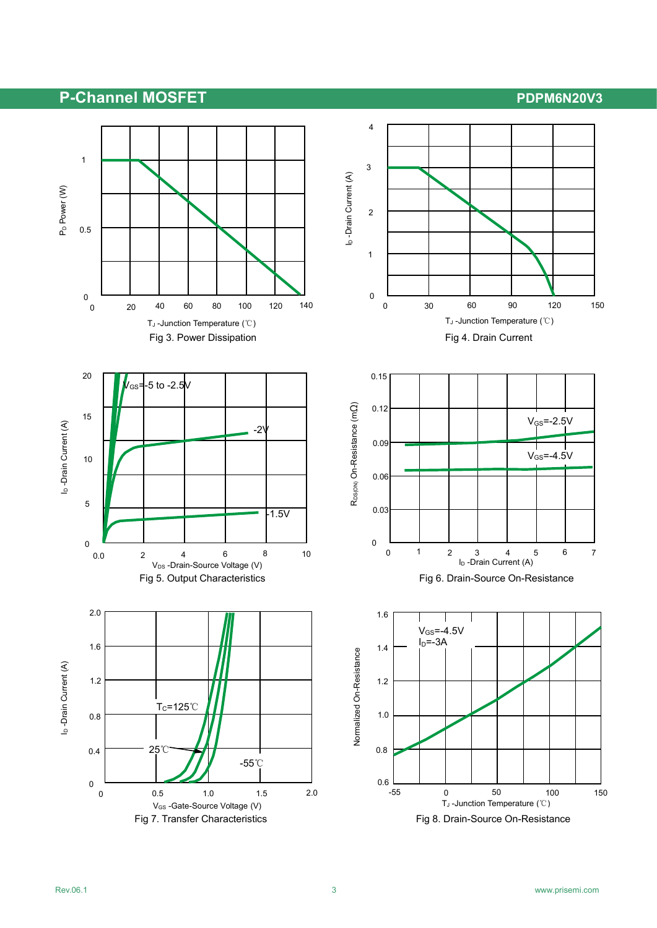## **P-Channel MOSFET POPM6N20V3**

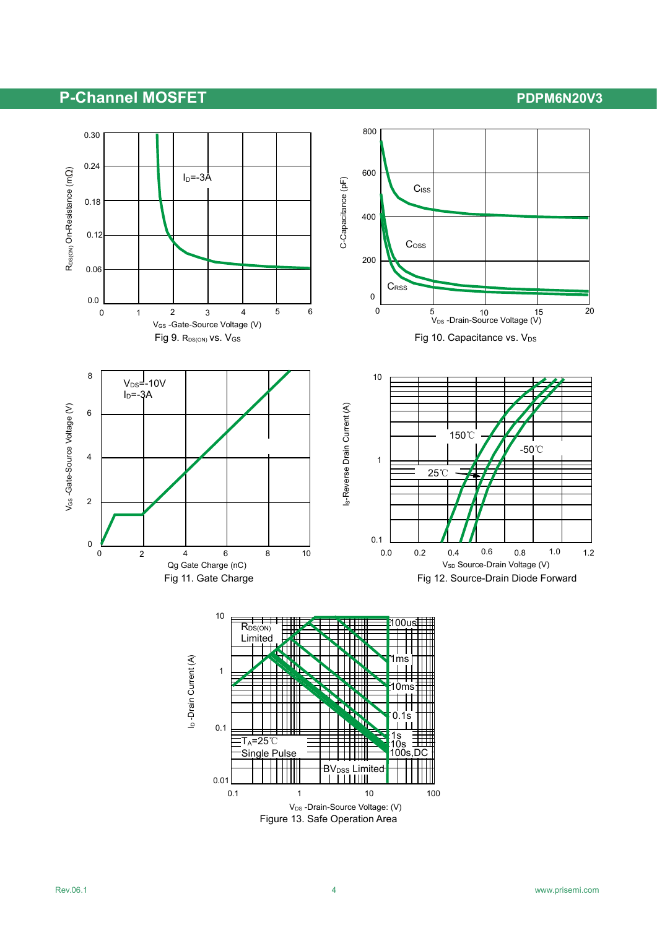## **P-Channel MOSFET POPM6N20V3**

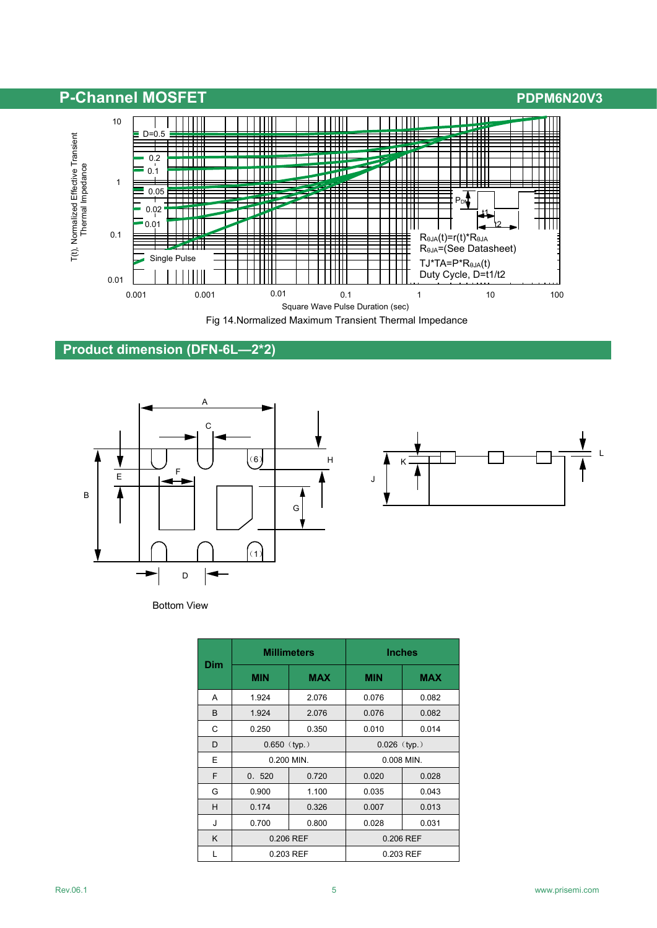# **P-Channel MOSFET PDPM6N20V3**



### **Product dimension (DFN-6L—2\*2)**





Bottom View

| <b>Dim</b> | <b>Millimeters</b> |                          | <b>Inches</b>  |            |  |
|------------|--------------------|--------------------------|----------------|------------|--|
|            | <b>MIN</b>         | <b>MAX</b>               | <b>MIN</b>     | <b>MAX</b> |  |
| A          | 1.924              | 2.076                    | 0.076          | 0.082      |  |
| B          | 1.924              | 2.076                    | 0.076          | 0.082      |  |
| C          | 0.250              | 0.350                    | 0.010          | 0.014      |  |
| D          | $0.650$ (typ.)     |                          | $0.026$ (typ.) |            |  |
| E          |                    | 0.200 MIN.<br>0.008 MIN. |                |            |  |
| F          | 0.520              | 0.720                    | 0.020          | 0.028      |  |
| G          | 0.900              | 1.100                    | 0.035          | 0.043      |  |
| H          | 0.174              | 0.326                    | 0.007          | 0.013      |  |
| J          | 0.700              | 0.800                    | 0.028          | 0.031      |  |
| K          |                    | 0.206 REF                |                | 0.206 REF  |  |
| L          |                    | 0.203 REF                |                | 0.203 REF  |  |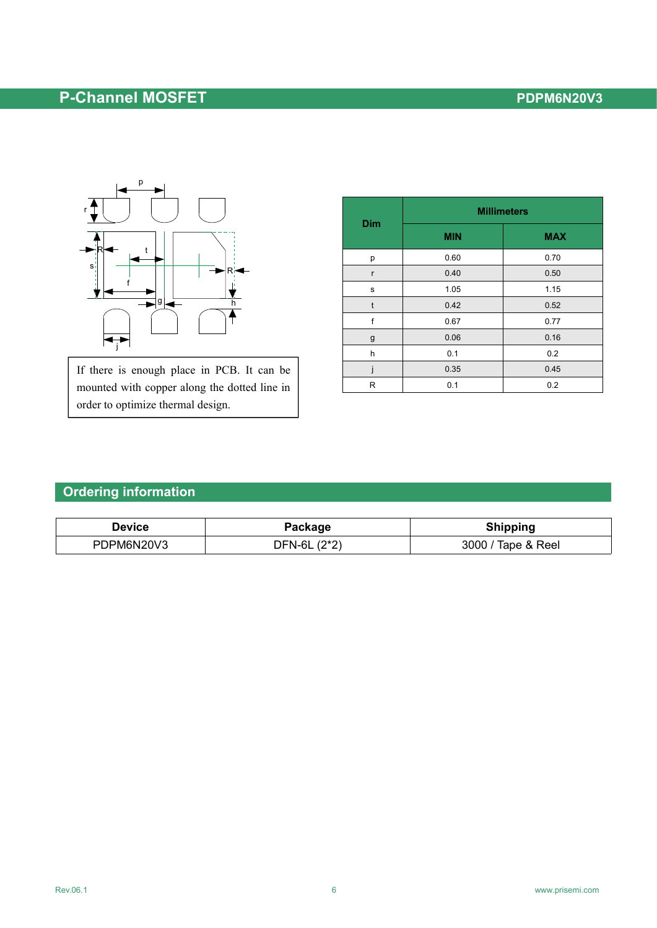# **P-Channel MOSFET PDPM6N20V3**



If there is enough place in PCB. It can be mounted with copper along the dotted line in order to optimize thermal design.

| Dim              | <b>Millimeters</b> |            |  |  |
|------------------|--------------------|------------|--|--|
|                  | <b>MIN</b>         | <b>MAX</b> |  |  |
| p                | 0.60               | 0.70       |  |  |
| $\mathsf{r}$     | 0.40               | 0.50       |  |  |
| $\mathbf s$      | 1.05               | 1.15       |  |  |
| t                | 0.42               | 0.52       |  |  |
| f                | 0.67               | 0.77       |  |  |
| $\boldsymbol{g}$ | 0.06               | 0.16       |  |  |
| $\mathsf{h}$     | 0.1                | 0.2        |  |  |
|                  | 0.35               | 0.45       |  |  |
| R                | 0.1                | 0.2        |  |  |

# **Ordering information**

| <b>Device</b>        |                                                          | --------                            |
|----------------------|----------------------------------------------------------|-------------------------------------|
| ு<br>JV.<br>IVІ<br>◡ | $n * n$<br>NLAI.<br><u>_</u><br>$\overline{\phantom{a}}$ | 3000<br>Reel<br>יי<br>ימו<br>$\sim$ |